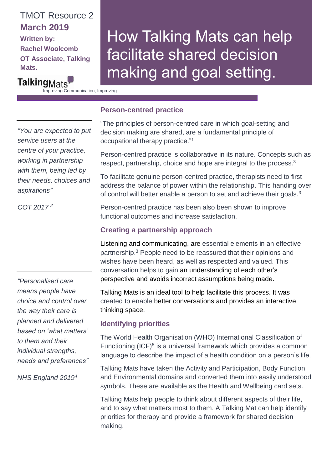# TMOT Resource 2 **March 2019 Written by:**

**Rachel Woolcomb OT Associate, Talking Mats.**

# How Talking Mats can help facilitate shared decision making and goal setting.

Talking<sub>Mats</sub> Improving Communication, Improving

Lives

*"You are expected to put service users at the centre of your practice, working in partnership with them, being led by their needs, choices and aspirations"*

*COT 2017 2*

*"Personalised care means people have choice and control over the way their care is planned and delivered based on 'what matters' to them and their individual strengths, needs and preferences"*

*NHS England 20194*

## **Person-centred practice**

"The principles of person-centred care in which goal-setting and decision making are shared, are a fundamental principle of occupational therapy practice." 1

Person-centred practice is collaborative in its nature. Concepts such as respect, partnership, choice and hope are integral to the process.<sup>3</sup>

To facilitate genuine person-centred practice, therapists need to first address the balance of power within the relationship. This handing over of control will better enable a person to set and achieve their goals.<sup>3</sup>

Person-centred practice has been also been shown to improve functional outcomes and increase satisfaction.

# **Creating a partnership approach**

Listening and communicating, are essential elements in an effective partnership.<sup>3</sup> People need to be reassured that their opinions and wishes have been heard, as well as respected and valued. This conversation helps to gain an understanding of each other's perspective and avoids incorrect assumptions being made.

Talking Mats is an ideal tool to help facilitate this process. It was created to enable better conversations and provides an interactive thinking space.

## **Identifying priorities**

The World Health Organisation (WHO) International Classification of Functioning (ICF)<sup>5</sup> is a universal framework which provides a common language to describe the impact of a health condition on a person's life.

Talking Mats have taken the Activity and Participation, Body Function and Environmental domains and converted them into easily understood symbols. These are available as the Health and Wellbeing card sets.

Talking Mats help people to think about different aspects of their life, and to say what matters most to them. A Talking Mat can help identify priorities for therapy and provide a framework for shared decision making.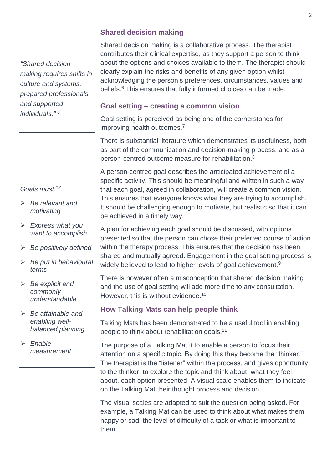*"Shared decision making requires shifts in culture and systems, prepared professionals and supported individuals." <sup>6</sup>*

#### *Goals must:<sup>12</sup>*

- ➢ *Be relevant and motivating*
- ➢ *Express what you want to accomplish*
- ➢ *Be positively defined*
- ➢ *Be put in behavioural terms*
- ➢ *Be explicit and commonly understandable*
- ➢ *Be attainable and enabling wellbalanced planning*
- ➢ *Enable measurement*

#### **Shared decision making**

Shared decision making is a collaborative process. The therapist contributes their clinical expertise, as they support a person to think about the options and choices available to them. The therapist should clearly explain the risks and benefits of any given option whilst acknowledging the person's preferences, circumstances, values and beliefs.<sup>6</sup> This ensures that fully informed choices can be made.

#### **Goal setting – creating a common vision**

Goal setting is perceived as being one of the cornerstones for improving health outcomes.<sup>7</sup>

There is substantial literature which demonstrates its usefulness, both as part of the communication and decision-making process, and as a person-centred outcome measure for rehabilitation.<sup>8</sup>

A person-centred goal describes the anticipated achievement of a specific activity. This should be meaningful and written in such a way that each goal, agreed in collaboration, will create a common vision. This ensures that everyone knows what they are trying to accomplish. It should be challenging enough to motivate, but realistic so that it can be achieved in a timely way.

A plan for achieving each goal should be discussed, with options presented so that the person can chose their preferred course of action within the therapy process. This ensures that the decision has been shared and mutually agreed. Engagement in the goal setting process is widely believed to lead to higher levels of goal achievement.<sup>9</sup>

There is however often a misconception that shared decision making and the use of goal setting will add more time to any consultation. However, this is without evidence.<sup>10</sup>

#### **How Talking Mats can help people think**

Talking Mats has been demonstrated to be a useful tool in enabling people to think about rehabilitation goals.<sup>11</sup>

The purpose of a Talking Mat it to enable a person to focus their attention on a specific topic. By doing this they become the "thinker." The therapist is the "listener" within the process, and gives opportunity to the thinker, to explore the topic and think about, what they feel about, each option presented. A visual scale enables them to indicate on the Talking Mat their thought process and decision.

The visual scales are adapted to suit the question being asked. For example, a Talking Mat can be used to think about what makes them happy or sad, the level of difficulty of a task or what is important to them.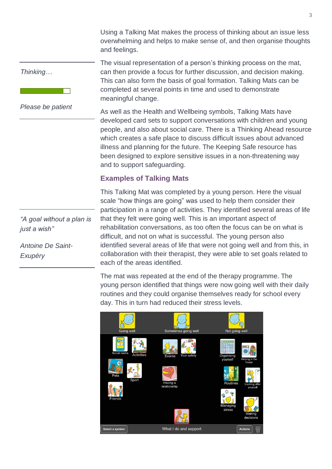Using a Talking Mat makes the process of thinking about an issue less overwhelming and helps to make sense of, and then organise thoughts and feelings.

The visual representation of a person's thinking process on the mat, can then provide a focus for further discussion, and decision making. This can also form the basis of goal formation. Talking Mats can be

completed at several points in time and used to demonstrate

*Thinking…*

*Please be patient*

As well as the Health and Wellbeing symbols, Talking Mats have developed card sets to support conversations with children and young people, and also about social care. There is a Thinking Ahead resource which creates a safe place to discuss difficult issues about advanced illness and planning for the future. The Keeping Safe resource has been designed to explore sensitive issues in a non-threatening way

#### **Examples of Talking Mats**

and to support safeguarding.

meaningful change.

This Talking Mat was completed by a young person. Here the visual scale "how things are going" was used to help them consider their participation in a range of activities. They identified several areas of life that they felt were going well. This is an important aspect of rehabilitation conversations, as too often the focus can be on what is difficult, and not on what is successful. The young person also identified several areas of life that were not going well and from this, in collaboration with their therapist, they were able to set goals related to each of the areas identified.

The mat was repeated at the end of the therapy programme. The young person identified that things were now going well with their daily routines and they could organise themselves ready for school every day. This in turn had reduced their stress levels.



*"A goal without a plan is just a wish"*

*Antoine De Saint-Exupéry*